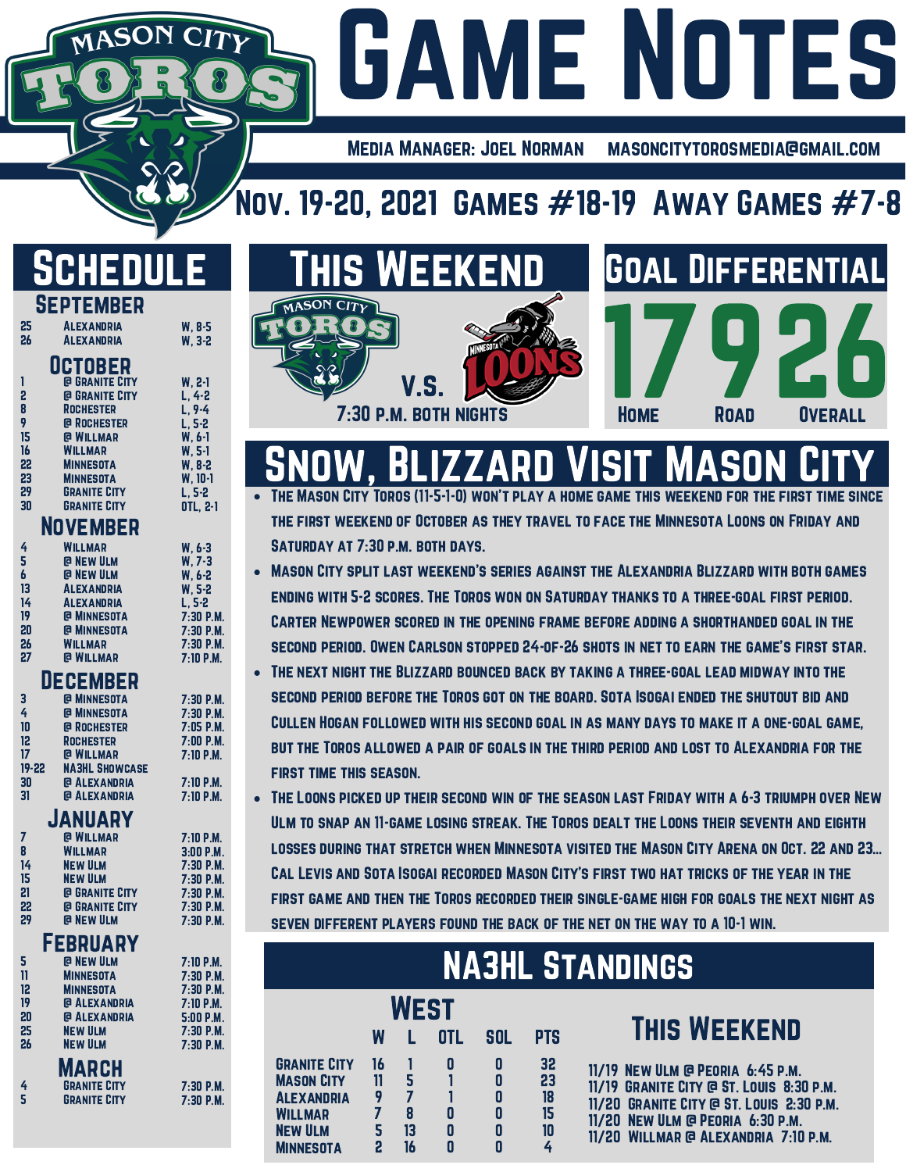### Media Manager: Joel Norman masoncitytorosmedia@gmail.com

## Nov. 19-20, 2021 GAMES  $#18-19$  Away Games  $#7-8$

# Schedule

MASON

W, 5-2 L, 5-2 7:30 P.M. 7:30 P.M. 7:30 P.M. 7:10 P.M.

> $M.$  $M.$ 7:00 P.M. .M.  $M.$  $.M.$

|      | <b>SEPTEMBER</b>      |           |
|------|-----------------------|-----------|
| 25 — | <b>ALEXANDRIA</b>     | $W. 8-5$  |
| 26   | <b>ALEXANDRIA</b>     | W. 3-2    |
|      | <b>UCTOBER</b>        |           |
| 1    | <b>@ GRANITE CITY</b> | W. 2-1    |
| 2    | <b>@ GRANITE CITY</b> | $L, 4-2$  |
| 8    | <b>ROCHESTER</b>      | $L, 9-4$  |
| 9    | @ ROCHESTER           | $L, 5-2$  |
| 15   | <b>@ WILLMAR</b>      | $W. 6-1$  |
| 16   | <b>WILLMAR</b>        | $W, 5-1$  |
| 22   | <b>MINNESOTA</b>      | $W. 8-2$  |
| 23   | <b>MINNESOTA</b>      | $W. 10-1$ |
| 29   | <b>GRANITE CITY</b>   | L. 5-2    |
| 30   | <b>GRANITE CITY</b>   | OTL, 2-1  |
|      | NOVEMBER              |           |
| 4    | WILLMAR               | $W, 6-3$  |
| 5    | @ NEW ULM             | $W, 7-3$  |
| 6    | <b>@ NEW ULM</b>      | W. 6-2    |
| 13   | <b>ALEXANDRIA</b>     | W, 5-2    |
| 14   | <b>ALEXANDRIA</b>     | L, 5-2    |
| 19   | <b>@ MINNESOTA</b>    | 7:30P.    |

### @ Willmar **DECEMBER**

@ Minnesota **WILLMAR** 

20 26 27

| 3     | <b>@ MINNESOTA</b>    | 7:30P.M     |
|-------|-----------------------|-------------|
| 4     | <b>@ MINNESOTA</b>    | 7:30P.M     |
| 10    | <b>@ ROCHESTER</b>    | $7:05$ P.M  |
| 12    | <b>ROCHESTER</b>      | 7:00P.M.    |
| 17    | <b>@ WILLMAR</b>      | $7:10$ P.M. |
| 19-22 | <b>NA3HL SHOWCASE</b> |             |
| 30    | <b>@ ALEXANDRIA</b>   | $7:10$ P.M. |
| 31    | <b>@ ALEXANDRIA</b>   | $7:10$ P.M. |
|       | <u>I A LIII A NV</u>  |             |
|       |                       |             |

### @ Willmar January

| 7  | <b>@ WILLMAR</b>      | 7:10 P.M.   |
|----|-----------------------|-------------|
| 8  | <b>WILLMAR</b>        | $3:00$ P.M. |
| 14 | <b>NEW ULM</b>        | $7:30$ P.M. |
| 15 | <b>NEW ULM</b>        | $7:30$ P.M. |
| 21 | <b>@ GRANITE CITY</b> | $7:30$ P.M. |
| 22 | <b>@ GRANITE CITY</b> | $7:30$ P.M. |
| 29 | <b>@ NEW ULM</b>      | $7:30$ P.M. |
|    |                       |             |

### **FEBRUARY**

| 5      | <b>@ NEW ULM</b>    | $7:10$ P.M. |
|--------|---------------------|-------------|
| 11     | <b>MINNESOTA</b>    | 7:30P.M     |
| 12     | <b>MINNESOTA</b>    | 7:30P.M     |
| 19     | <b>@ ALEXANDRIA</b> | 7:10 P.M.   |
| 20     | <b>@ ALEXANDRIA</b> | $5:00$ P.M  |
| 25     | <b>NEW ULM</b>      | 7:30P.M     |
| 26     | <b>NEW ULM</b>      | 7:30P.M     |
|        | <b>MARCH</b>        |             |
|        | <b>GRANITE CITY</b> | 7:30P.M     |
| 4<br>Տ | <b>GRANITE CITY</b> | 7:30P.M     |
|        |                     |             |



**GAME NOTES** 

# Snow, Blizzard Visit Mason City

The Mason City Toros (11-5-1-0) won't play a home game this weekend for the first time since the first weekend of October as they travel to face the Minnesota Loons on Friday and Saturday at 7:30 p.m. both days.

- Mason City split last weekend's series against the Alexandria Blizzard with both games ending with 5-2 scores. The Toros won on Saturday thanks to a three-goal first period. Carter Newpower scored in the opening frame before adding a shorthanded goal in the second period. Owen Carlson stopped 24-of-26 shots in net to earn the game's first star.
- The next night the Blizzard bounced back by taking a three-goal lead midway into the second period before the Toros got on the board. Sota Isogai ended the shutout bid and Cullen Hogan followed with his second goal in as many days to make it a one-goal game, but the Toros allowed a pair of goals in the third period and lost to Alexandria for the first time this season.
- The Loons picked up their second win of the season last Friday with a 6-3 triumph over New Ulm to snap an 11-game losing streak. The Toros dealt the Loons their seventh and eighth losses during that stretch when Minnesota visited the Mason City Arena on Oct. 22 and 23… Cal Levis and Sota Isogai recorded Mason City's first two hat tricks of the year in the first game and then the Toros recorded their single-game high for goals the next night as seven different players found the back of the net on the way to a 10-1 win.

| <b>NA3HL STANDINGS</b>                                                                                                |    |             |                  |                       |                                 |                                                                                                                                                                                                      |  |  |
|-----------------------------------------------------------------------------------------------------------------------|----|-------------|------------------|-----------------------|---------------------------------|------------------------------------------------------------------------------------------------------------------------------------------------------------------------------------------------------|--|--|
|                                                                                                                       |    | <b>WEST</b> |                  |                       |                                 |                                                                                                                                                                                                      |  |  |
|                                                                                                                       | W  |             | <b>OTL</b>       | SOL                   | <b>PTS</b>                      | <b>THIS WEEKEND</b>                                                                                                                                                                                  |  |  |
| <b>GRANITE CITY</b><br><b>MASON CITY</b><br><b>ALEXANDRIA</b><br><b>WILLMAR</b><br><b>NEW ULM</b><br><b>MINNESOTA</b> | 16 | 13<br>16    | 0<br>0<br>0<br>0 | 0<br>0<br>0<br>0<br>0 | 32<br>23<br>18<br>15<br>10<br>4 | 11/19 NEW ULM @ PEORIA 6:45 P.M.<br>11/19 GRANITE CITY @ ST. LOUIS 8:30 P.M.<br>11/20 GRANITE CITY @ ST. LOUIS 2:30 P.M.<br>11/20 NEW ULM @ PEORIA 6:30 P.M.<br>11/20 WILLMAR @ ALEXANDRIA 7:10 P.M. |  |  |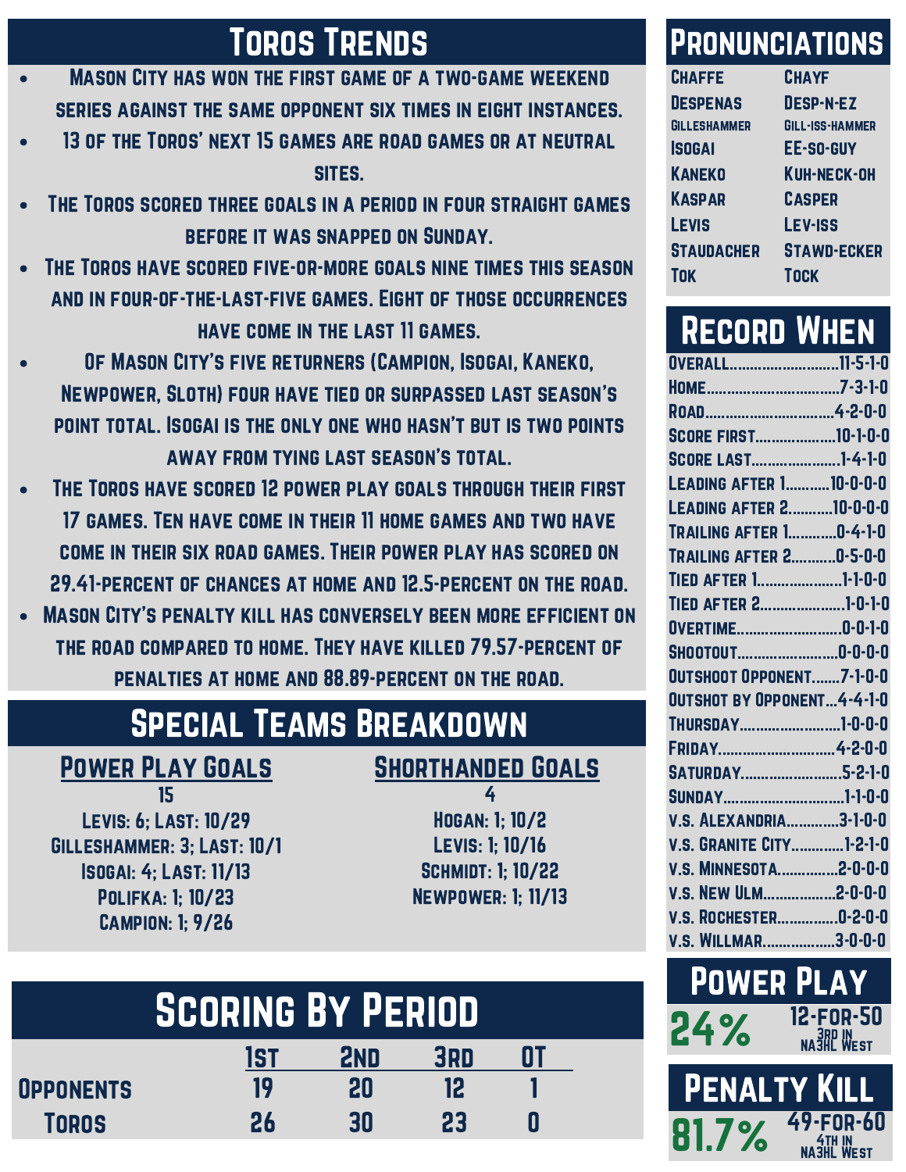- Mason City has won the first game of a two-game weekend series against the same opponent six times in eight instances.
- 13 of the Toros' next 15 games are road games or at neutral sites.
- The Toros scored three goals in a period in four straight games before it was snapped on Sunday.
- The Toros have scored five-or-more goals nine times this season and in four-of-the-last-five games. Eight of those occurrences have come in the last 11 games.
- Of Mason City's five returners (Campion, Isogai, Kaneko, Newpower, Sloth) four have tied or surpassed last season's point total. Isogai is the only one who hasn't but is two points away from tying last season's total.
- The Toros have scored 12 power play goals through their first 17 games. Ten have come in their 11 home games and two have come in their six road games. Their power play has scored on 29.41-percent of chances at home and 12.5-percent on the road.
- Mason City's penalty kill has conversely been more efficient on the road compared to home. They have killed 79.57-percent of penalties at home and 88.89-percent on the road.

# Special Teams Breakdown

15 Levis: 6; Last: 10/29 Gilleshammer: 3; Last: 10/1 Isogai: 4; Last: 11/13 Polifka: 1; 10/23 Campion: 1; 9/26

### POWER PLAY GOALS SHORTHANDED GOALS

4 Hogan: 1; 10/2 Levis: 1; 10/16 Schmidt: 1; 10/22 Newpower: 1; 11/13

| <b>SCORING BY PERIOD</b> |     |     |     |  |  |  |
|--------------------------|-----|-----|-----|--|--|--|
|                          | 1ST | 2ND | 3RD |  |  |  |
| <b>OPPONENTS</b>         | 19  | 20  | 12  |  |  |  |
| <b>TOROS</b>             | 26  | 30  | 23  |  |  |  |

### TOROS TRENDS PRONUNCIATIONS

| <b>CHAFFE</b>       | <b>CHAYF</b>       |
|---------------------|--------------------|
| <b>DESPENAS</b>     | <b>DESP-N-EZ</b>   |
| <b>GILLESHAMMER</b> | GILL-ISS-HAMMER    |
| <b>ISOGAI</b>       | <b>EE-SO-GUY</b>   |
| <b>KANEKO</b>       | <b>KUH-NECK-OH</b> |
| <b>KASPAR</b>       | <b>CASPER</b>      |
| <b>LEVIS</b>        | <b>LEV-ISS</b>     |
| <b>STAUDACHER</b>   | <b>STAWD-ECKER</b> |
| Tok                 | <b>TOCK</b>        |

## Record When

| HOME7-3-1-0<br>SCORE FIRST10-1-0-0<br>SCORE LAST1-4-1-0<br><b>LEADING AFTER 110-0-0-0</b><br><b>LEADING AFTER 210-0-0-0</b><br><b>TRAILING AFTER 10-4-1-0</b><br><b>TRAILING AFTER 20-5-0-0</b><br><b>TIED AFTER 11-1-0-0</b><br>TIED AFTER 21-0-1-0<br>OVERTIME0-0-1-0<br>SHOOTOUT0-0-0-0<br>OUTSHOOT OPPONENT7-1-0-0<br><b>OUTSHOT BY OPPONENT4-4-1-0</b><br>THURSDAY1-0-0-0<br>FRIDAY4-2-0-0<br>SATURDAY5-2-1-0<br>SUNDAY1-1-0-0<br><b>V.S. ALEXANDRIA3-1-0-0</b><br><b>V.S. GRANITE CITY1-2-1-0</b><br>V.S. MINNESOTA2-0-0-0<br>V.S. NEW ULM2-0-0-0<br><b>V.S. ROCHESTER0-2-0-0</b><br><b>V.S. WILLMAR3-0-0-0</b> | OVERALL11-5-1-0 |  |
|-----------------------------------------------------------------------------------------------------------------------------------------------------------------------------------------------------------------------------------------------------------------------------------------------------------------------------------------------------------------------------------------------------------------------------------------------------------------------------------------------------------------------------------------------------------------------------------------------------------------------|-----------------|--|
|                                                                                                                                                                                                                                                                                                                                                                                                                                                                                                                                                                                                                       |                 |  |
|                                                                                                                                                                                                                                                                                                                                                                                                                                                                                                                                                                                                                       |                 |  |
|                                                                                                                                                                                                                                                                                                                                                                                                                                                                                                                                                                                                                       |                 |  |
|                                                                                                                                                                                                                                                                                                                                                                                                                                                                                                                                                                                                                       |                 |  |
|                                                                                                                                                                                                                                                                                                                                                                                                                                                                                                                                                                                                                       |                 |  |
|                                                                                                                                                                                                                                                                                                                                                                                                                                                                                                                                                                                                                       |                 |  |
|                                                                                                                                                                                                                                                                                                                                                                                                                                                                                                                                                                                                                       |                 |  |
|                                                                                                                                                                                                                                                                                                                                                                                                                                                                                                                                                                                                                       |                 |  |
|                                                                                                                                                                                                                                                                                                                                                                                                                                                                                                                                                                                                                       |                 |  |
|                                                                                                                                                                                                                                                                                                                                                                                                                                                                                                                                                                                                                       |                 |  |
|                                                                                                                                                                                                                                                                                                                                                                                                                                                                                                                                                                                                                       |                 |  |
|                                                                                                                                                                                                                                                                                                                                                                                                                                                                                                                                                                                                                       |                 |  |
|                                                                                                                                                                                                                                                                                                                                                                                                                                                                                                                                                                                                                       |                 |  |
|                                                                                                                                                                                                                                                                                                                                                                                                                                                                                                                                                                                                                       |                 |  |
|                                                                                                                                                                                                                                                                                                                                                                                                                                                                                                                                                                                                                       |                 |  |
|                                                                                                                                                                                                                                                                                                                                                                                                                                                                                                                                                                                                                       |                 |  |
|                                                                                                                                                                                                                                                                                                                                                                                                                                                                                                                                                                                                                       |                 |  |
|                                                                                                                                                                                                                                                                                                                                                                                                                                                                                                                                                                                                                       |                 |  |
|                                                                                                                                                                                                                                                                                                                                                                                                                                                                                                                                                                                                                       |                 |  |
|                                                                                                                                                                                                                                                                                                                                                                                                                                                                                                                                                                                                                       |                 |  |
|                                                                                                                                                                                                                                                                                                                                                                                                                                                                                                                                                                                                                       |                 |  |
|                                                                                                                                                                                                                                                                                                                                                                                                                                                                                                                                                                                                                       |                 |  |
|                                                                                                                                                                                                                                                                                                                                                                                                                                                                                                                                                                                                                       |                 |  |
|                                                                                                                                                                                                                                                                                                                                                                                                                                                                                                                                                                                                                       |                 |  |